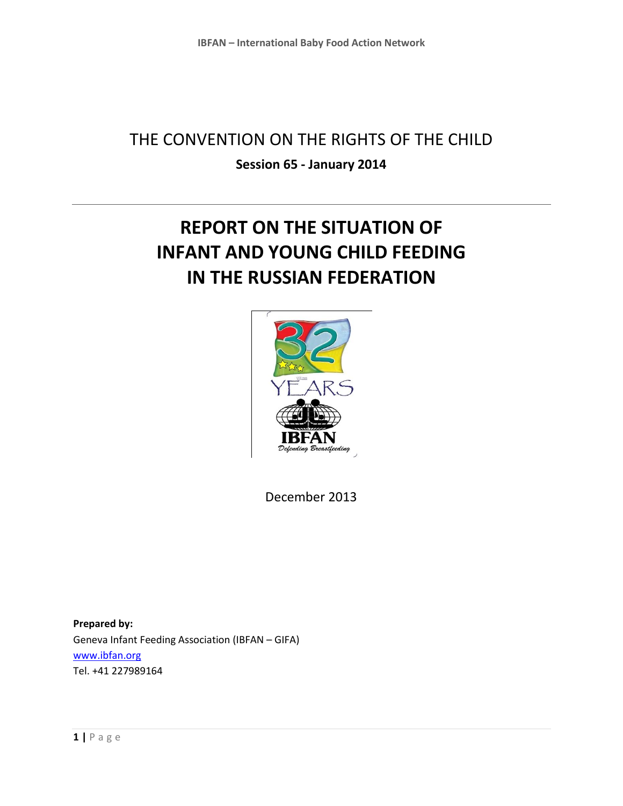## THE CONVENTION ON THE RIGHTS OF THE CHILD **Session 65 - January 2014**

# **REPORT ON THE SITUATION OF INFANT AND YOUNG CHILD FEEDING IN THE RUSSIAN FEDERATION**



December 2013

**Prepared by:**  Geneva Infant Feeding Association (IBFAN – GIFA) [www.ibfan.org](http://www.ibfan.org/) Tel. +41 227989164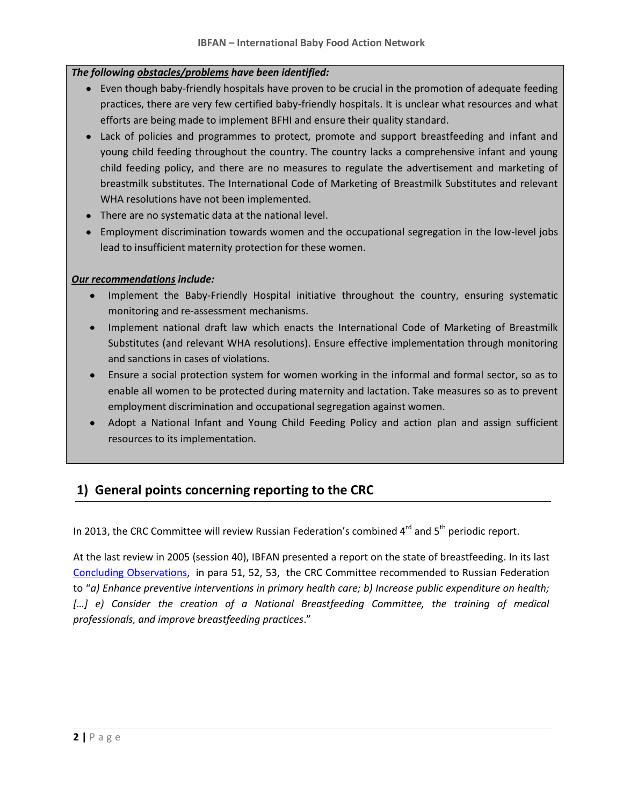#### *The following obstacles/problems have been identified:*

- Even though baby-friendly hospitals have proven to be crucial in the promotion of adequate feeding practices, there are very few certified baby-friendly hospitals. It is unclear what resources and what efforts are being made to implement BFHI and ensure their quality standard.
- Lack of policies and programmes to protect, promote and support breastfeeding and infant and young child feeding throughout the country. The country lacks a comprehensive infant and young child feeding policy, and there are no measures to regulate the advertisement and marketing of breastmilk substitutes. The International Code of Marketing of Breastmilk Substitutes and relevant WHA resolutions have not been implemented.
- There are no systematic data at the national level.
- Employment discrimination towards women and the occupational segregation in the low-level jobs lead to insufficient maternity protection for these women.

#### *Our recommendations include:*

- Implement the Baby-Friendly Hospital initiative throughout the country, ensuring systematic monitoring and re-assessment mechanisms.
- Implement national draft law which enacts the International Code of Marketing of Breastmilk Substitutes (and relevant WHA resolutions). Ensure effective implementation through monitoring and sanctions in cases of violations.
- Ensure a social protection system for women working in the informal and formal sector, so as to enable all women to be protected during maternity and lactation. Take measures so as to prevent employment discrimination and occupational segregation against women.
- Adopt a National Infant and Young Child Feeding Policy and action plan and assign sufficient resources to its implementation.

## **1) General points concerning reporting to the CRC**

In 2013, the CRC Committee will review Russian Federation's combined 4<sup>rd</sup> and 5<sup>th</sup> periodic report.

At the last review in 2005 (session 40), IBFAN presented a report on the state of breastfeeding. In its last [Concluding Observations,](http://daccess-dds-ny.un.org/doc/UNDOC/GEN/G05/451/04/PDF/G0545104.pdf?OpenElement) in para 51, 52, 53, the CRC Committee recommended to Russian Federation to "*a) Enhance preventive interventions in primary health care; b) Increase public expenditure on health;* […] e) Consider the creation of a National Breastfeeding Committee, the training of medical *professionals, and improve breastfeeding practices*."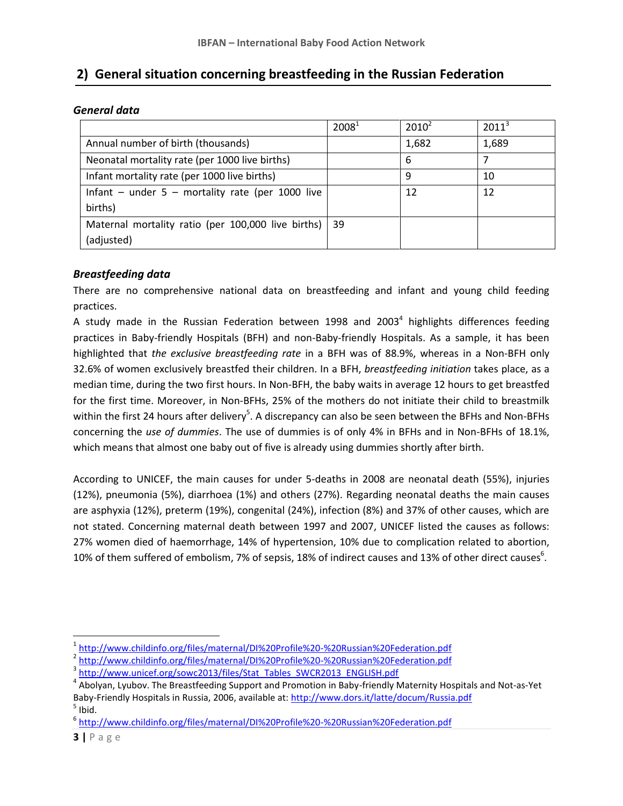### **2) General situation concerning breastfeeding in the Russian Federation**

| General data |  |
|--------------|--|
|--------------|--|

|                                                         | 2008 <sup>1</sup> | $2010^2$ | $2011^3$ |
|---------------------------------------------------------|-------------------|----------|----------|
| Annual number of birth (thousands)                      |                   | 1,682    | 1,689    |
| Neonatal mortality rate (per 1000 live births)          |                   | 6        |          |
| Infant mortality rate (per 1000 live births)            |                   | q        | 10       |
| Infant – under $5$ – mortality rate (per 1000 live      |                   | 12       | 12       |
| births)                                                 |                   |          |          |
| Maternal mortality ratio (per 100,000 live births)   39 |                   |          |          |
| (adjusted)                                              |                   |          |          |

#### *Breastfeeding data*

There are no comprehensive national data on breastfeeding and infant and young child feeding practices.

A study made in the Russian Federation between 1998 and 2003<sup>4</sup> highlights differences feeding practices in Baby-friendly Hospitals (BFH) and non-Baby-friendly Hospitals. As a sample, it has been highlighted that *the exclusive breastfeeding rate* in a BFH was of 88.9%, whereas in a Non-BFH only 32.6% of women exclusively breastfed their children. In a BFH, *breastfeeding initiation* takes place, as a median time, during the two first hours. In Non-BFH, the baby waits in average 12 hours to get breastfed for the first time. Moreover, in Non-BFHs, 25% of the mothers do not initiate their child to breastmilk within the first 24 hours after delivery<sup>5</sup>. A discrepancy can also be seen between the BFHs and Non-BFHs concerning the *use of dummies*. The use of dummies is of only 4% in BFHs and in Non-BFHs of 18.1%, which means that almost one baby out of five is already using dummies shortly after birth.

According to UNICEF, the main causes for under 5-deaths in 2008 are neonatal death (55%), injuries (12%), pneumonia (5%), diarrhoea (1%) and others (27%). Regarding neonatal deaths the main causes are asphyxia (12%), preterm (19%), congenital (24%), infection (8%) and 37% of other causes, which are not stated. Concerning maternal death between 1997 and 2007, UNICEF listed the causes as follows: 27% women died of haemorrhage, 14% of hypertension, 10% due to complication related to abortion, 10% of them suffered of embolism, 7% of sepsis, 18% of indirect causes and 13% of other direct causes<sup>6</sup>.

l <sup>1</sup> <http://www.childinfo.org/files/maternal/DI%20Profile%20-%20Russian%20Federation.pdf>

<sup>&</sup>lt;sup>2</sup> <http://www.childinfo.org/files/maternal/DI%20Profile%20-%20Russian%20Federation.pdf>

<sup>&</sup>lt;sup>3</sup> [http://www.unicef.org/sowc2013/files/Stat\\_Tables\\_SWCR2013\\_ENGLISH.pdf](http://www.unicef.org/sowc2013/files/Stat_Tables_SWCR2013_ENGLISH.pdf)

<sup>&</sup>lt;sup>4</sup> Abolyan, Lyubov. The Breastfeeding Support and Promotion in Baby-friendly Maternity Hospitals and Not-as-Yet Baby-Friendly Hospitals in Russia, 2006, available at:<http://www.dors.it/latte/docum/Russia.pdf>  $<sup>5</sup>$  Ibid.</sup>

<sup>&</sup>lt;sup>6</sup> <http://www.childinfo.org/files/maternal/DI%20Profile%20-%20Russian%20Federation.pdf>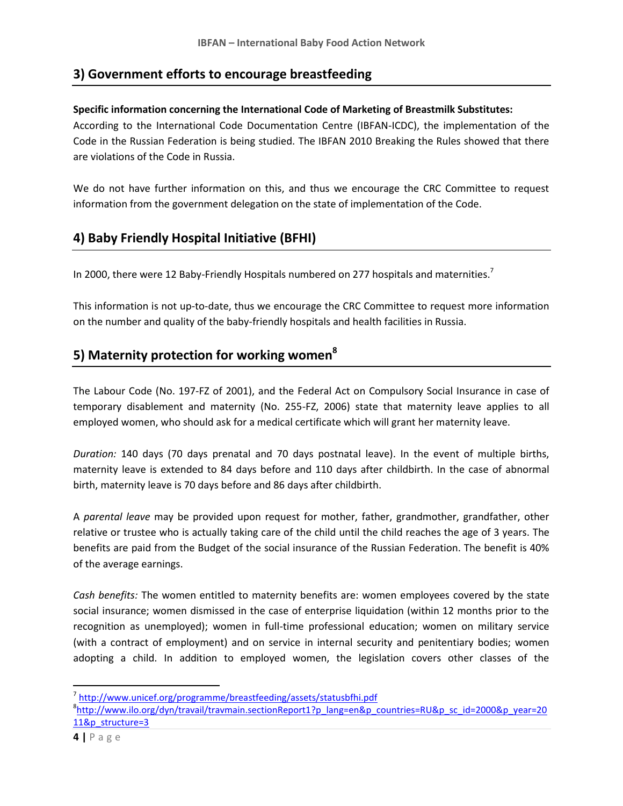## **3) Government efforts to encourage breastfeeding**

#### **Specific information concerning the International Code of Marketing of Breastmilk Substitutes:**

According to the International Code Documentation Centre (IBFAN-ICDC), the implementation of the Code in the Russian Federation is being studied. The IBFAN 2010 Breaking the Rules showed that there are violations of the Code in Russia.

We do not have further information on this, and thus we encourage the CRC Committee to request information from the government delegation on the state of implementation of the Code.

## **4) Baby Friendly Hospital Initiative (BFHI)**

In 2000, there were 12 Baby-Friendly Hospitals numbered on 277 hospitals and maternities.<sup>7</sup>

This information is not up-to-date, thus we encourage the CRC Committee to request more information on the number and quality of the baby-friendly hospitals and health facilities in Russia.

## **5) Maternity protection for working women<sup>8</sup>**

The Labour Code (No. 197-FZ of 2001), and the Federal Act on Compulsory Social Insurance in case of temporary disablement and maternity (No. 255-FZ, 2006) state that maternity leave applies to all employed women, who should ask for a medical certificate which will grant her maternity leave.

*Duration:* 140 days (70 days prenatal and 70 days postnatal leave). In the event of multiple births, maternity leave is extended to 84 days before and 110 days after childbirth. In the case of abnormal birth, maternity leave is 70 days before and 86 days after childbirth.

A *parental leave* may be provided upon request for mother, father, grandmother, grandfather, other relative or trustee who is actually taking care of the child until the child reaches the age of 3 years. The benefits are paid from the Budget of the social insurance of the Russian Federation. The benefit is 40% of the average earnings.

*Cash benefits:* The women entitled to maternity benefits are: women employees covered by the state social insurance; women dismissed in the case of enterprise liquidation (within 12 months prior to the recognition as unemployed); women in full-time professional education; women on military service (with a contract of employment) and on service in internal security and penitentiary bodies; women adopting a child. In addition to employed women, the legislation covers other classes of the

 $\overline{\phantom{a}}$ 

<sup>&</sup>lt;sup>7</sup><http://www.unicef.org/programme/breastfeeding/assets/statusbfhi.pdf>

<sup>&</sup>lt;sup>8</sup>[http://www.ilo.org/dyn/travail/travmain.sectionReport1?p\\_lang=en&p\\_countries=RU&p\\_sc\\_id=2000&p\\_year=20](http://www.ilo.org/dyn/travail/travmain.sectionReport1?p_lang=en&p_countries=RU&p_sc_id=2000&p_year=2011&p_structure=3) [11&p\\_structure=3](http://www.ilo.org/dyn/travail/travmain.sectionReport1?p_lang=en&p_countries=RU&p_sc_id=2000&p_year=2011&p_structure=3)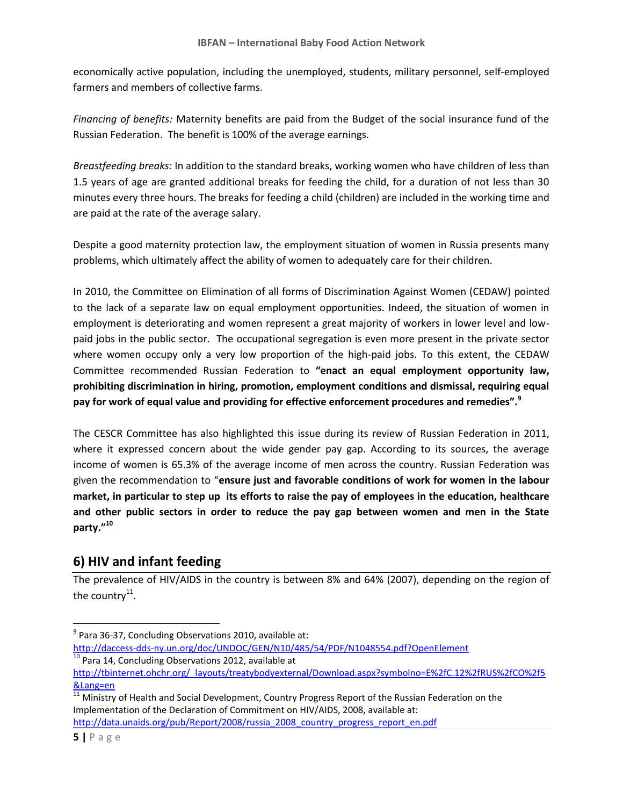economically active population, including the unemployed, students, military personnel, self-employed farmers and members of collective farms.

*Financing of benefits:* Maternity benefits are paid from the Budget of the social insurance fund of the Russian Federation. The benefit is 100% of the average earnings.

*Breastfeeding breaks:* In addition to the standard breaks, working women who have children of less than 1.5 years of age are granted additional breaks for feeding the child, for a duration of not less than 30 minutes every three hours. The breaks for feeding a child (children) are included in the working time and are paid at the rate of the average salary.

Despite a good maternity protection law, the employment situation of women in Russia presents many problems, which ultimately affect the ability of women to adequately care for their children.

In 2010, the Committee on Elimination of all forms of Discrimination Against Women (CEDAW) pointed to the lack of a separate law on equal employment opportunities. Indeed, the situation of women in employment is deteriorating and women represent a great majority of workers in lower level and lowpaid jobs in the public sector. The occupational segregation is even more present in the private sector where women occupy only a very low proportion of the high-paid jobs. To this extent, the CEDAW Committee recommended Russian Federation to **"enact an equal employment opportunity law, prohibiting discrimination in hiring, promotion, employment conditions and dismissal, requiring equal pay for work of equal value and providing for effective enforcement procedures and remedies".<sup>9</sup>**

The CESCR Committee has also highlighted this issue during its review of Russian Federation in 2011, where it expressed concern about the wide gender pay gap. According to its sources, the average income of women is 65.3% of the average income of men across the country. Russian Federation was given the recommendation to "**ensure just and favorable conditions of work for women in the labour market, in particular to step up its efforts to raise the pay of employees in the education, healthcare and other public sectors in order to reduce the pay gap between women and men in the State party."<sup>10</sup>**

## **6) HIV and infant feeding**

The prevalence of HIV/AIDS in the country is between 8% and 64% (2007), depending on the region of the country $^{\rm 11}.$ 

[http://data.unaids.org/pub/Report/2008/russia\\_2008\\_country\\_progress\\_report\\_en.pdf](http://data.unaids.org/pub/Report/2008/russia_2008_country_progress_report_en.pdf)

 $\overline{\phantom{a}}$ 

 $^{9}$  Para 36-37, Concluding Observations 2010, available at: <http://daccess-dds-ny.un.org/doc/UNDOC/GEN/N10/485/54/PDF/N1048554.pdf?OpenElement> <sup>10</sup> Para 14, Concluding Observations 2012, available at

[http://tbinternet.ohchr.org/\\_layouts/treatybodyexternal/Download.aspx?symbolno=E%2fC.12%2fRUS%2fCO%2f5](http://tbinternet.ohchr.org/_layouts/treatybodyexternal/Download.aspx?symbolno=E%2fC.12%2fRUS%2fCO%2f5&Lang=en) [&Lang=en](http://tbinternet.ohchr.org/_layouts/treatybodyexternal/Download.aspx?symbolno=E%2fC.12%2fRUS%2fCO%2f5&Lang=en)

 $\frac{11}{11}$  Ministry of Health and Social Development, Country Progress Report of the Russian Federation on the Implementation of the Declaration of Commitment on HIV/AIDS, 2008, available at: